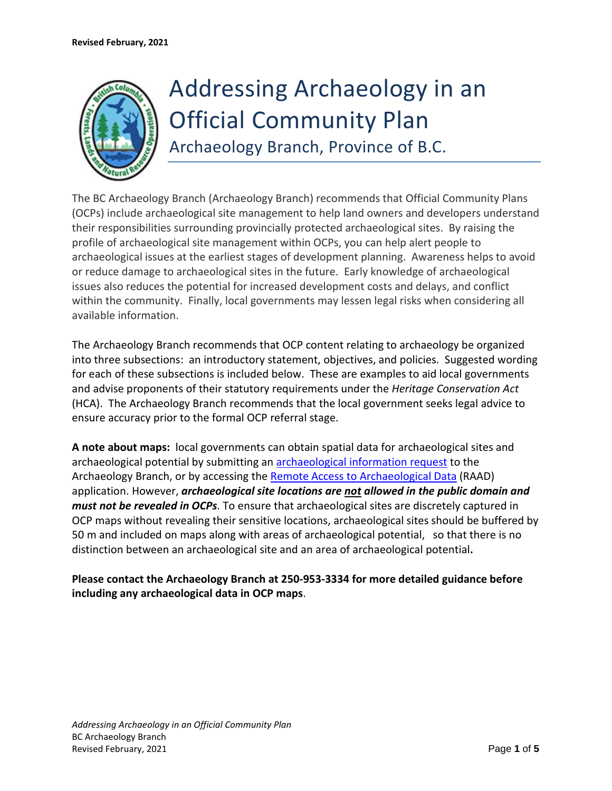

# Addressing Archaeology in an Official Community Plan

Archaeology Branch, Province of B.C.

The BC Archaeology Branch (Archaeology Branch) recommends that Official Community Plans (OCPs) include archaeological site management to help land owners and developers understand their responsibilities surrounding provincially protected archaeological sites. By raising the profile of archaeological site management within OCPs, you can help alert people to archaeological issues at the earliest stages of development planning. Awareness helps to avoid or reduce damage to archaeological sites in the future. Early knowledge of archaeological issues also reduces the potential for increased development costs and delays, and conflict within the community. Finally, local governments may lessen legal risks when considering all available information.

The Archaeology Branch recommends that OCP content relating to archaeology be organized into three subsections: an introductory statement, objectives, and policies. Suggested wording for each of these subsections is included below. These are examples to aid local governments and advise proponents of their statutory requirements under the *Heritage Conservation Act* (HCA). The Archaeology Branch recommends that the local government seeks legal advice to ensure accuracy prior to the formal OCP referral stage.

**A note about maps:** local governments can obtain spatial data for archaeological sites and archaeological potential by submitting an [archaeological information request](https://www.archdatarequest.nrs.gov.bc.ca/) to the Archaeology Branch, or by accessing the [Remote Access to Archaeological Data](https://www2.gov.bc.ca/gov/content/industry/natural-resource-use/archaeology/request-arch-info/raad) (RAAD) application. However, *archaeological site locations are not allowed in the public domain and must not be revealed in OCPs*. To ensure that archaeological sites are discretely captured in OCP maps without revealing their sensitive locations, archaeological sites should be buffered by 50 m and included on maps along with areas of archaeological potential, so that there is no distinction between an archaeological site and an area of archaeological potential**.** 

**Please contact the Archaeology Branch at 250-953-3334 for more detailed guidance before including any archaeological data in OCP maps**.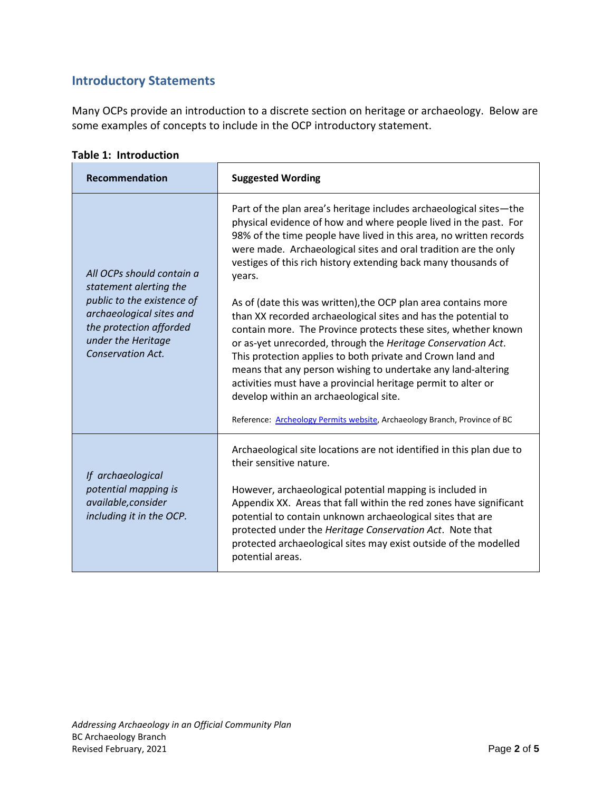## **Introductory Statements**

Many OCPs provide an introduction to a discrete section on heritage or archaeology. Below are some examples of concepts to include in the OCP introductory statement.

**Table 1: Introduction**

| <b>Recommendation</b>                                                                                                                                                                      | <b>Suggested Wording</b>                                                                                                                                                                                                                                                                                                                                                                                                                                                                                                                                                                 |
|--------------------------------------------------------------------------------------------------------------------------------------------------------------------------------------------|------------------------------------------------------------------------------------------------------------------------------------------------------------------------------------------------------------------------------------------------------------------------------------------------------------------------------------------------------------------------------------------------------------------------------------------------------------------------------------------------------------------------------------------------------------------------------------------|
| All OCPs should contain a<br>statement alerting the<br>public to the existence of<br>archaeological sites and<br>the protection afforded<br>under the Heritage<br><b>Conservation Act.</b> | Part of the plan area's heritage includes archaeological sites-the<br>physical evidence of how and where people lived in the past. For<br>98% of the time people have lived in this area, no written records<br>were made. Archaeological sites and oral tradition are the only<br>vestiges of this rich history extending back many thousands of<br>years.                                                                                                                                                                                                                              |
|                                                                                                                                                                                            | As of (date this was written), the OCP plan area contains more<br>than XX recorded archaeological sites and has the potential to<br>contain more. The Province protects these sites, whether known<br>or as-yet unrecorded, through the Heritage Conservation Act.<br>This protection applies to both private and Crown land and<br>means that any person wishing to undertake any land-altering<br>activities must have a provincial heritage permit to alter or<br>develop within an archaeological site.<br>Reference: Archeology Permits website, Archaeology Branch, Province of BC |
|                                                                                                                                                                                            |                                                                                                                                                                                                                                                                                                                                                                                                                                                                                                                                                                                          |
| If archaeological<br>potential mapping is<br>available, consider<br>including it in the OCP.                                                                                               | Archaeological site locations are not identified in this plan due to<br>their sensitive nature.                                                                                                                                                                                                                                                                                                                                                                                                                                                                                          |
|                                                                                                                                                                                            | However, archaeological potential mapping is included in<br>Appendix XX. Areas that fall within the red zones have significant<br>potential to contain unknown archaeological sites that are<br>protected under the Heritage Conservation Act. Note that<br>protected archaeological sites may exist outside of the modelled<br>potential areas.                                                                                                                                                                                                                                         |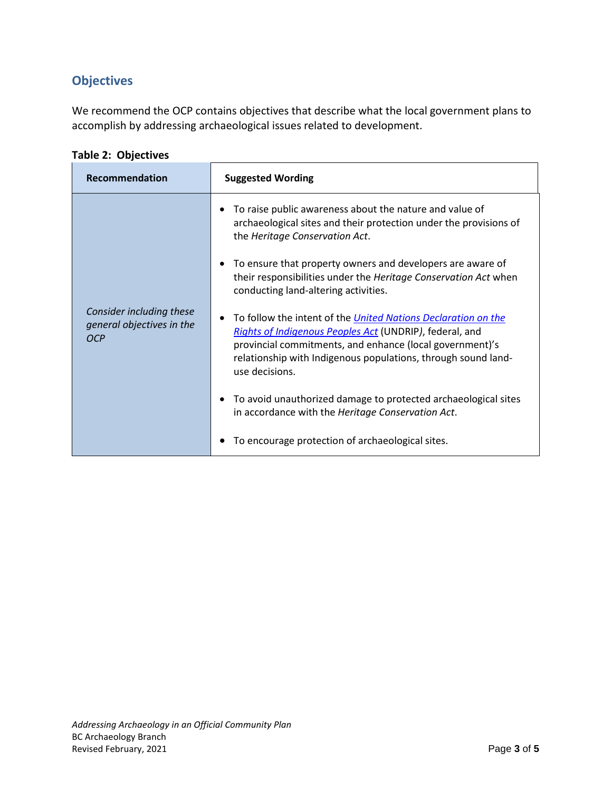# **Objectives**

We recommend the OCP contains objectives that describe what the local government plans to accomplish by addressing archaeological issues related to development.

**Table 2: Objectives**

| Recommendation                                               | <b>Suggested Wording</b>                                                                                                                                                                                                                                                       |
|--------------------------------------------------------------|--------------------------------------------------------------------------------------------------------------------------------------------------------------------------------------------------------------------------------------------------------------------------------|
|                                                              | To raise public awareness about the nature and value of<br>archaeological sites and their protection under the provisions of<br>the Heritage Conservation Act.                                                                                                                 |
|                                                              | To ensure that property owners and developers are aware of<br>their responsibilities under the Heritage Conservation Act when<br>conducting land-altering activities.                                                                                                          |
| Consider including these<br>general objectives in the<br>OCP | To follow the intent of the <i>United Nations Declaration on the</i><br>Rights of Indigenous Peoples Act (UNDRIP), federal, and<br>provincial commitments, and enhance (local government)'s<br>relationship with Indigenous populations, through sound land-<br>use decisions. |
|                                                              | To avoid unauthorized damage to protected archaeological sites<br>in accordance with the Heritage Conservation Act.                                                                                                                                                            |
|                                                              | To encourage protection of archaeological sites.                                                                                                                                                                                                                               |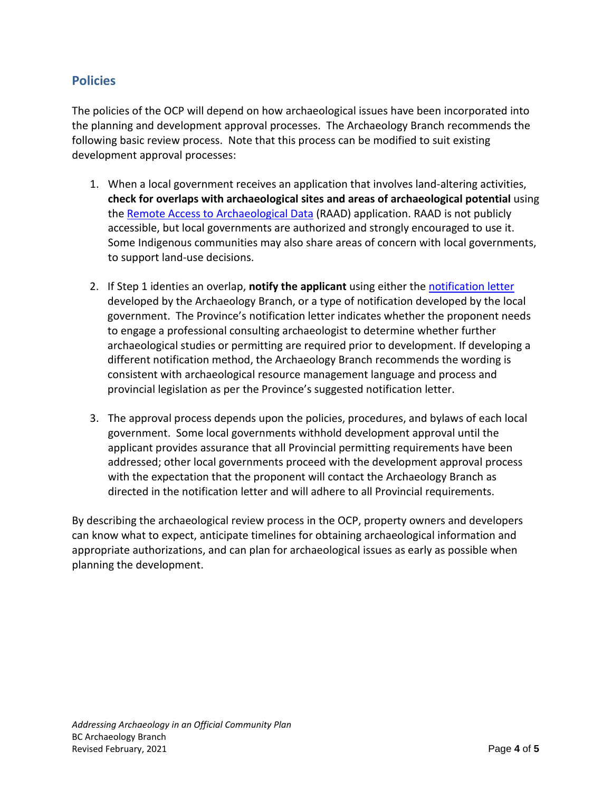### **Policies**

The policies of the OCP will depend on how archaeological issues have been incorporated into the planning and development approval processes. The Archaeology Branch recommends the following basic review process. Note that this process can be modified to suit existing development approval processes:

- 1. When a local government receives an application that involves land-altering activities, **check for overlaps with archaeological sites and areas of archaeological potential** using the [Remote Access to Archaeological Data](https://www2.gov.bc.ca/gov/content/industry/natural-resource-use/archaeology/request-arch-info/raad) (RAAD) application. RAAD is not publicly accessible, but local governments are authorized and strongly encouraged to use it. Some Indigenous communities may also share areas of concern with local governments, to support land-use decisions.
- 2. If Step 1 identies an overlap, **notify the applicant** using either the [notification letter](https://www2.gov.bc.ca/assets/gov/farming-natural-resources-and-industry/natural-resource-use/archaeology/forms-publications/local_government_notification_letter.pdf) developed by the Archaeology Branch, or a type of notification developed by the local government. The Province's notification letter indicates whether the proponent needs to engage a professional consulting archaeologist to determine whether further archaeological studies or permitting are required prior to development. If developing a different notification method, the Archaeology Branch recommends the wording is consistent with archaeological resource management language and process and provincial legislation as per the Province's suggested notification letter.
- 3. The approval process depends upon the policies, procedures, and bylaws of each local government. Some local governments withhold development approval until the applicant provides assurance that all Provincial permitting requirements have been addressed; other local governments proceed with the development approval process with the expectation that the proponent will contact the Archaeology Branch as directed in the notification letter and will adhere to all Provincial requirements.

By describing the archaeological review process in the OCP, property owners and developers can know what to expect, anticipate timelines for obtaining archaeological information and appropriate authorizations, and can plan for archaeological issues as early as possible when planning the development.